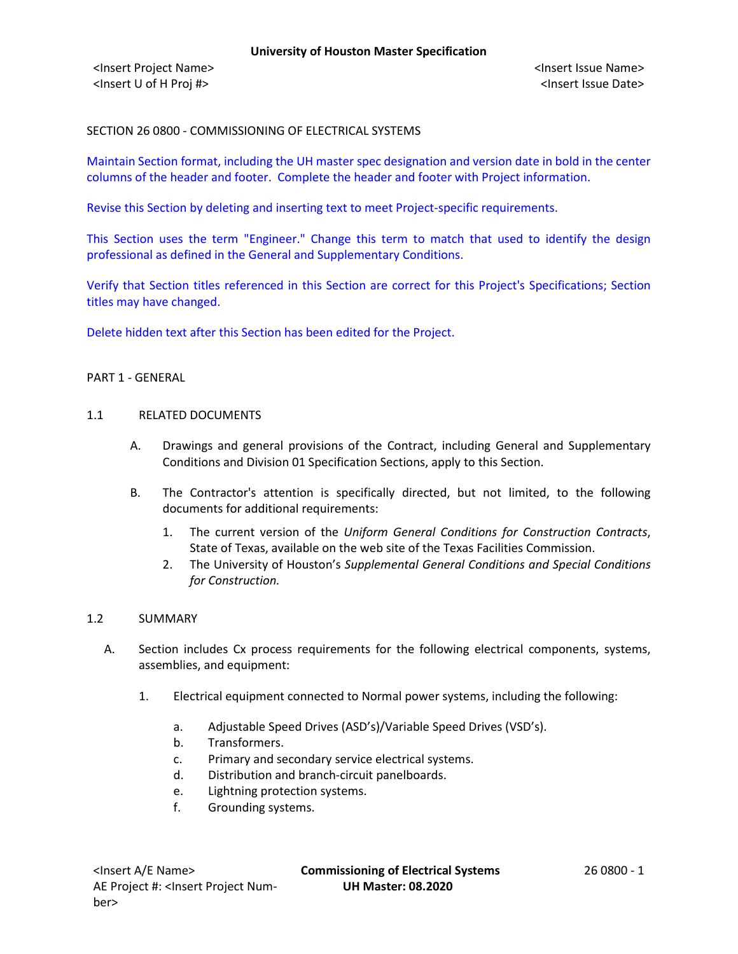SECTION 26 0800 - COMMISSIONING OF ELECTRICAL SYSTEMS

Maintain Section format, including the UH master spec designation and version date in bold in the center columns of the header and footer. Complete the header and footer with Project information.

Revise this Section by deleting and inserting text to meet Project-specific requirements.

This Section uses the term "Engineer." Change this term to match that used to identify the design professional as defined in the General and Supplementary Conditions.

Verify that Section titles referenced in this Section are correct for this Project's Specifications; Section titles may have changed.

Delete hidden text after this Section has been edited for the Project.

## PART 1 - GENERAL

#### 1.1 RELATED DOCUMENTS

- A. Drawings and general provisions of the Contract, including General and Supplementary Conditions and Division 01 Specification Sections, apply to this Section.
- B. The Contractor's attention is specifically directed, but not limited, to the following documents for additional requirements:
	- 1. The current version of the *Uniform General Conditions for Construction Contracts*, State of Texas, available on the web site of the Texas Facilities Commission.
	- 2. The University of Houston's *Supplemental General Conditions and Special Conditions for Construction.*

## 1.2 SUMMARY

- A. Section includes Cx process requirements for the following electrical components, systems, assemblies, and equipment:
	- 1. Electrical equipment connected to Normal power systems, including the following:
		- a. Adjustable Speed Drives (ASD's)/Variable Speed Drives (VSD's).
		- b. Transformers.
		- c. Primary and secondary service electrical systems.
		- d. Distribution and branch-circuit panelboards.
		- e. Lightning protection systems.
		- f. Grounding systems.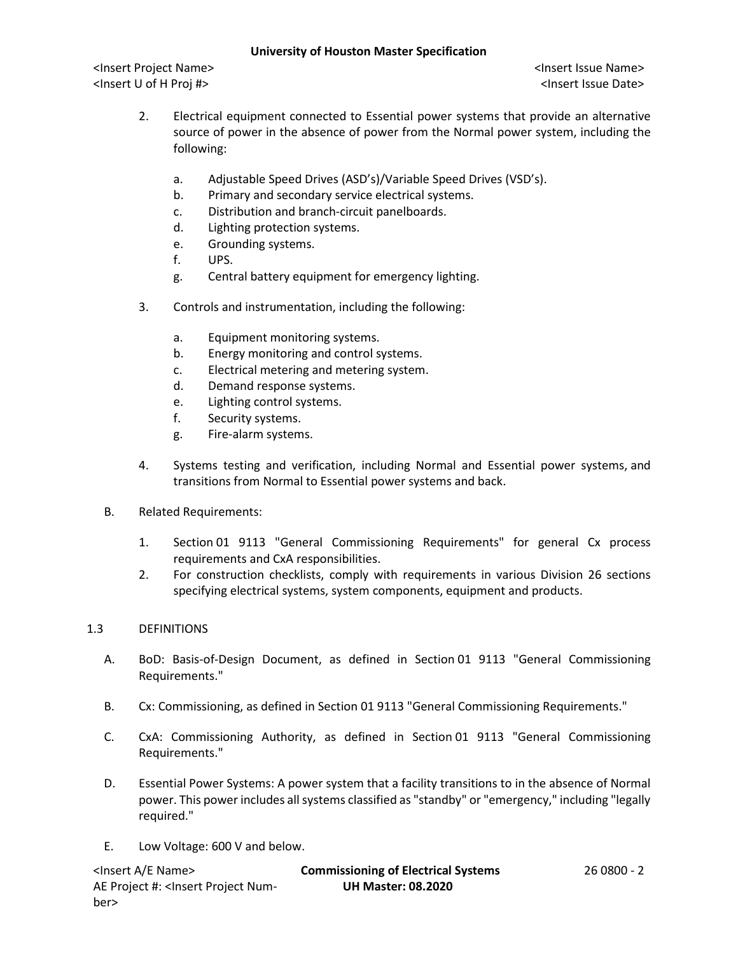<Insert Project Name> <Insert Issue Name> <Insert U of H Proj #> <Insert Issue Date>

- 2. Electrical equipment connected to Essential power systems that provide an alternative source of power in the absence of power from the Normal power system, including the following:
	- a. Adjustable Speed Drives (ASD's)/Variable Speed Drives (VSD's).
	- b. Primary and secondary service electrical systems.
	- c. Distribution and branch-circuit panelboards.
	- d. Lighting protection systems.
	- e. Grounding systems.
	- f. UPS.
	- g. Central battery equipment for emergency lighting.
- 3. Controls and instrumentation, including the following:
	- a. Equipment monitoring systems.
	- b. Energy monitoring and control systems.
	- c. Electrical metering and metering system.
	- d. Demand response systems.
	- e. Lighting control systems.
	- f. Security systems.
	- g. Fire-alarm systems.
- 4. Systems testing and verification, including Normal and Essential power systems, and transitions from Normal to Essential power systems and back.
- B. Related Requirements:
	- 1. Section 01 9113 "General Commissioning Requirements" for general Cx process requirements and CxA responsibilities.
	- 2. For construction checklists, comply with requirements in various Division 26 sections specifying electrical systems, system components, equipment and products.

# 1.3 DEFINITIONS

- A. BoD: Basis-of-Design Document, as defined in Section 01 9113 "General Commissioning Requirements."
- B. Cx: Commissioning, as defined in Section 01 9113 "General Commissioning Requirements."
- C. CxA: Commissioning Authority, as defined in Section 01 9113 "General Commissioning Requirements."
- D. Essential Power Systems: A power system that a facility transitions to in the absence of Normal power. This power includes all systems classified as "standby" or "emergency," including "legally required."
- E. Low Voltage: 600 V and below.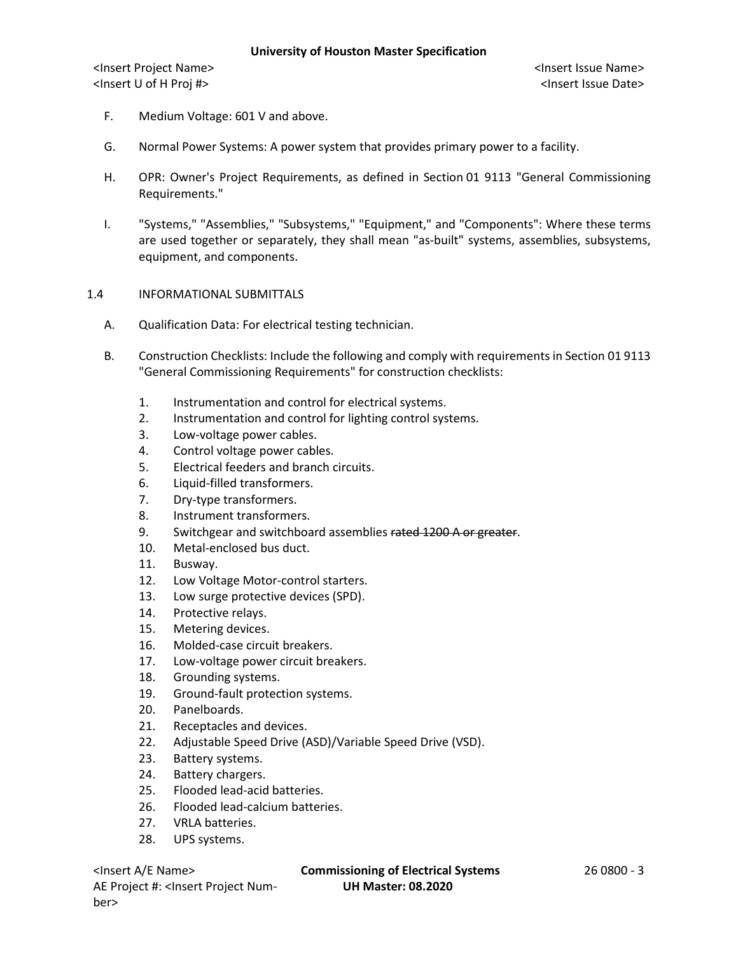- F. Medium Voltage: 601 V and above.
- G. Normal Power Systems: A power system that provides primary power to a facility.
- H. OPR: Owner's Project Requirements, as defined in Section 01 9113 "General Commissioning Requirements."
- I. "Systems," "Assemblies," "Subsystems," "Equipment," and "Components": Where these terms are used together or separately, they shall mean "as-built" systems, assemblies, subsystems, equipment, and components.

## 1.4 INFORMATIONAL SUBMITTALS

- A. Qualification Data: For electrical testing technician.
- B. Construction Checklists: Include the following and comply with requirements in Section 01 9113 "General Commissioning Requirements" for construction checklists:
	- 1. Instrumentation and control for electrical systems.
	- 2. Instrumentation and control for lighting control systems.
	- 3. Low-voltage power cables.
	- 4. Control voltage power cables.
	- 5. Electrical feeders and branch circuits.
	- 6. Liquid-filled transformers.
	- 7. Dry-type transformers.
	- 8. Instrument transformers.
	- 9. Switchgear and switchboard assemblies rated 1200 A or greater.
	- 10. Metal-enclosed bus duct.
	- 11. Busway.
	- 12. Low Voltage Motor-control starters.
	- 13. Low surge protective devices (SPD).
	- 14. Protective relays.
	- 15. Metering devices.
	- 16. Molded-case circuit breakers.
	- 17. Low-voltage power circuit breakers.
	- 18. Grounding systems.
	- 19. Ground-fault protection systems.
	- 20. Panelboards.
	- 21. Receptacles and devices.
	- 22. Adjustable Speed Drive (ASD)/Variable Speed Drive (VSD).
	- 23. Battery systems.
	- 24. Battery chargers.
	- 25. Flooded lead-acid batteries.
	- 26. Flooded lead-calcium batteries.
	- 27. VRLA batteries.
	- 28. UPS systems.

AE Project #: <Insert Project Number>

#### <Insert A/E Name> **Commissioning of Electrical Systems** 26 0800 - 3 **UH Master: 08.2020**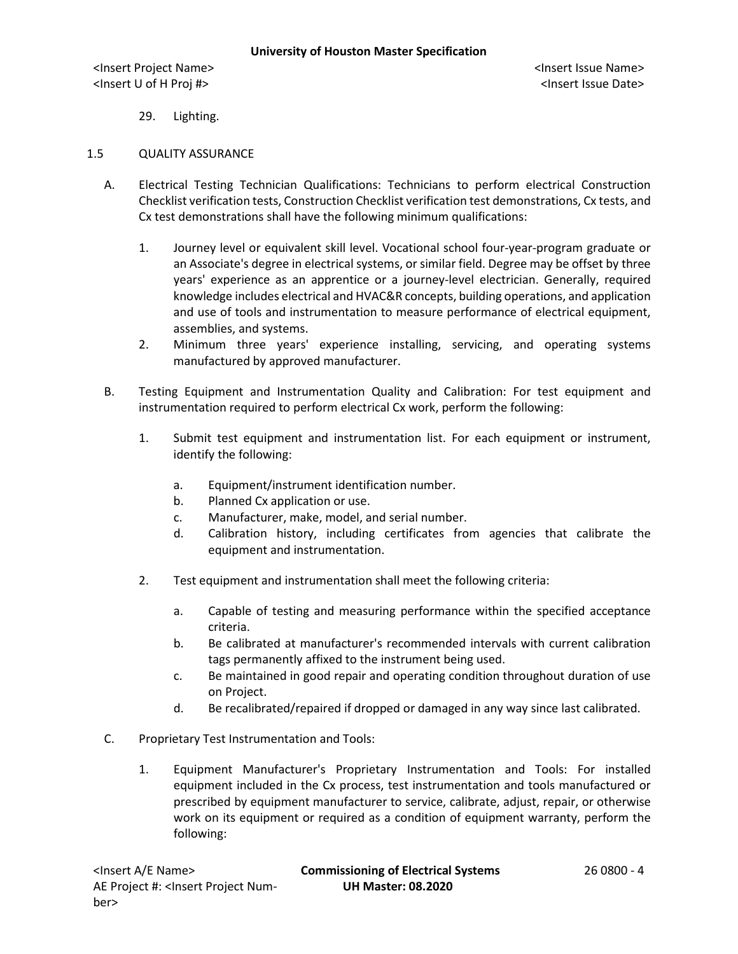29. Lighting.

## 1.5 QUALITY ASSURANCE

- A. Electrical Testing Technician Qualifications: Technicians to perform electrical Construction Checklist verification tests, Construction Checklist verification test demonstrations, Cx tests, and Cx test demonstrations shall have the following minimum qualifications:
	- 1. Journey level or equivalent skill level. Vocational school four-year-program graduate or an Associate's degree in electrical systems, or similar field. Degree may be offset by three years' experience as an apprentice or a journey-level electrician. Generally, required knowledge includes electrical and HVAC&R concepts, building operations, and application and use of tools and instrumentation to measure performance of electrical equipment, assemblies, and systems.
	- 2. Minimum three years' experience installing, servicing, and operating systems manufactured by approved manufacturer.
- B. Testing Equipment and Instrumentation Quality and Calibration: For test equipment and instrumentation required to perform electrical Cx work, perform the following:
	- 1. Submit test equipment and instrumentation list. For each equipment or instrument, identify the following:
		- a. Equipment/instrument identification number.
		- b. Planned Cx application or use.
		- c. Manufacturer, make, model, and serial number.
		- d. Calibration history, including certificates from agencies that calibrate the equipment and instrumentation.
	- 2. Test equipment and instrumentation shall meet the following criteria:
		- a. Capable of testing and measuring performance within the specified acceptance criteria.
		- b. Be calibrated at manufacturer's recommended intervals with current calibration tags permanently affixed to the instrument being used.
		- c. Be maintained in good repair and operating condition throughout duration of use on Project.
		- d. Be recalibrated/repaired if dropped or damaged in any way since last calibrated.
- C. Proprietary Test Instrumentation and Tools:
	- 1. Equipment Manufacturer's Proprietary Instrumentation and Tools: For installed equipment included in the Cx process, test instrumentation and tools manufactured or prescribed by equipment manufacturer to service, calibrate, adjust, repair, or otherwise work on its equipment or required as a condition of equipment warranty, perform the following: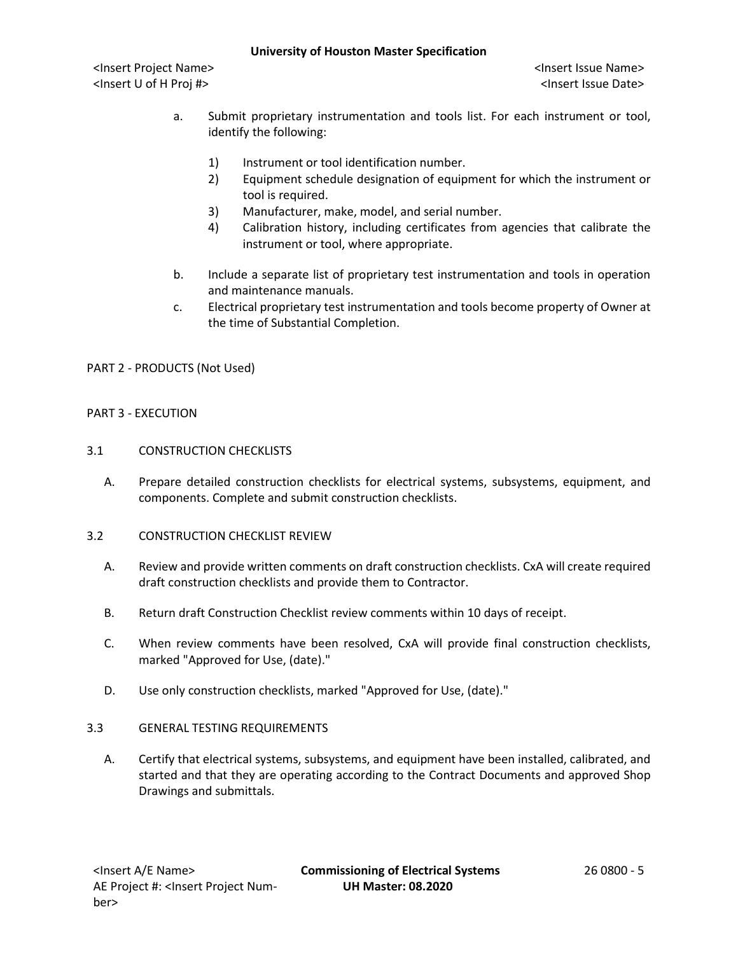<Insert Project Name> <Insert Issue Name> <Insert U of H Proj #> <Insert Issue Date>

- a. Submit proprietary instrumentation and tools list. For each instrument or tool, identify the following:
	- 1) Instrument or tool identification number.
	- 2) Equipment schedule designation of equipment for which the instrument or tool is required.
	- 3) Manufacturer, make, model, and serial number.
	- 4) Calibration history, including certificates from agencies that calibrate the instrument or tool, where appropriate.
- b. Include a separate list of proprietary test instrumentation and tools in operation and maintenance manuals.
- c. Electrical proprietary test instrumentation and tools become property of Owner at the time of Substantial Completion.

PART 2 - PRODUCTS (Not Used)

## PART 3 - EXECUTION

- 3.1 CONSTRUCTION CHECKLISTS
	- A. Prepare detailed construction checklists for electrical systems, subsystems, equipment, and components. Complete and submit construction checklists.
- 3.2 CONSTRUCTION CHECKLIST REVIEW
	- A. Review and provide written comments on draft construction checklists. CxA will create required draft construction checklists and provide them to Contractor.
	- B. Return draft Construction Checklist review comments within 10 days of receipt.
	- C. When review comments have been resolved, CxA will provide final construction checklists, marked "Approved for Use, (date)."
	- D. Use only construction checklists, marked "Approved for Use, (date)."

## 3.3 GENERAL TESTING REQUIREMENTS

A. Certify that electrical systems, subsystems, and equipment have been installed, calibrated, and started and that they are operating according to the Contract Documents and approved Shop Drawings and submittals.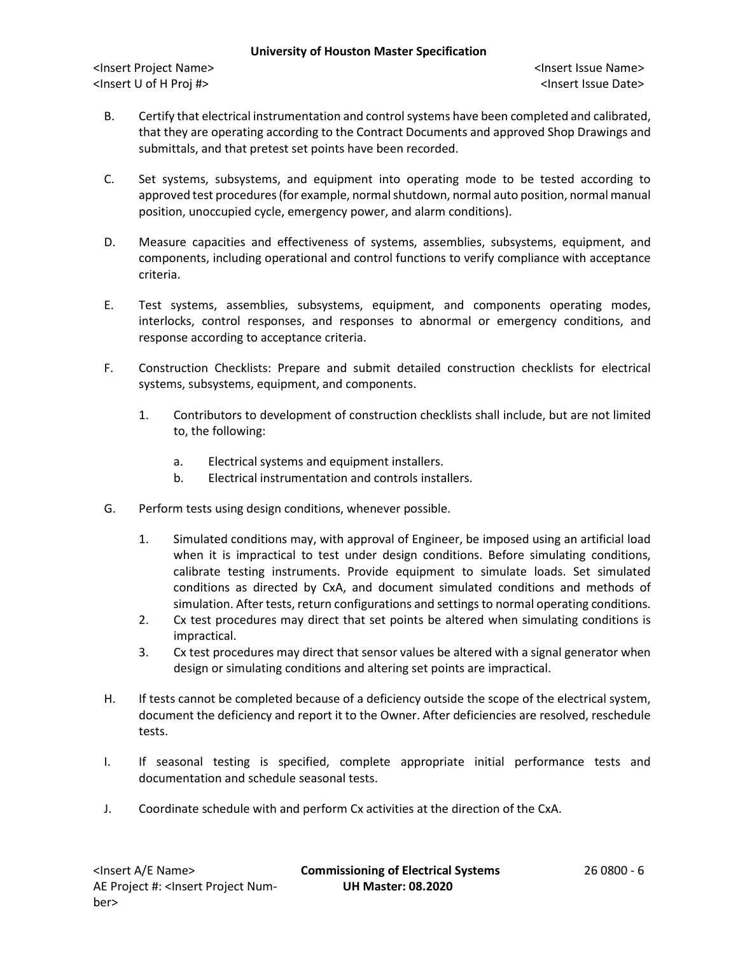<Insert Project Name> <Insert Issue Name> <Insert U of H Proj #> <Insert Issue Date>

- B. Certify that electrical instrumentation and control systems have been completed and calibrated, that they are operating according to the Contract Documents and approved Shop Drawings and submittals, and that pretest set points have been recorded.
- C. Set systems, subsystems, and equipment into operating mode to be tested according to approved test procedures (for example, normal shutdown, normal auto position, normal manual position, unoccupied cycle, emergency power, and alarm conditions).
- D. Measure capacities and effectiveness of systems, assemblies, subsystems, equipment, and components, including operational and control functions to verify compliance with acceptance criteria.
- E. Test systems, assemblies, subsystems, equipment, and components operating modes, interlocks, control responses, and responses to abnormal or emergency conditions, and response according to acceptance criteria.
- F. Construction Checklists: Prepare and submit detailed construction checklists for electrical systems, subsystems, equipment, and components.
	- 1. Contributors to development of construction checklists shall include, but are not limited to, the following:
		- a. Electrical systems and equipment installers.
		- b. Electrical instrumentation and controls installers.
- G. Perform tests using design conditions, whenever possible.
	- 1. Simulated conditions may, with approval of Engineer, be imposed using an artificial load when it is impractical to test under design conditions. Before simulating conditions, calibrate testing instruments. Provide equipment to simulate loads. Set simulated conditions as directed by CxA, and document simulated conditions and methods of simulation. After tests, return configurations and settings to normal operating conditions.
	- 2. Cx test procedures may direct that set points be altered when simulating conditions is impractical.
	- 3. Cx test procedures may direct that sensor values be altered with a signal generator when design or simulating conditions and altering set points are impractical.
- H. If tests cannot be completed because of a deficiency outside the scope of the electrical system, document the deficiency and report it to the Owner. After deficiencies are resolved, reschedule tests.
- I. If seasonal testing is specified, complete appropriate initial performance tests and documentation and schedule seasonal tests.
- J. Coordinate schedule with and perform Cx activities at the direction of the CxA.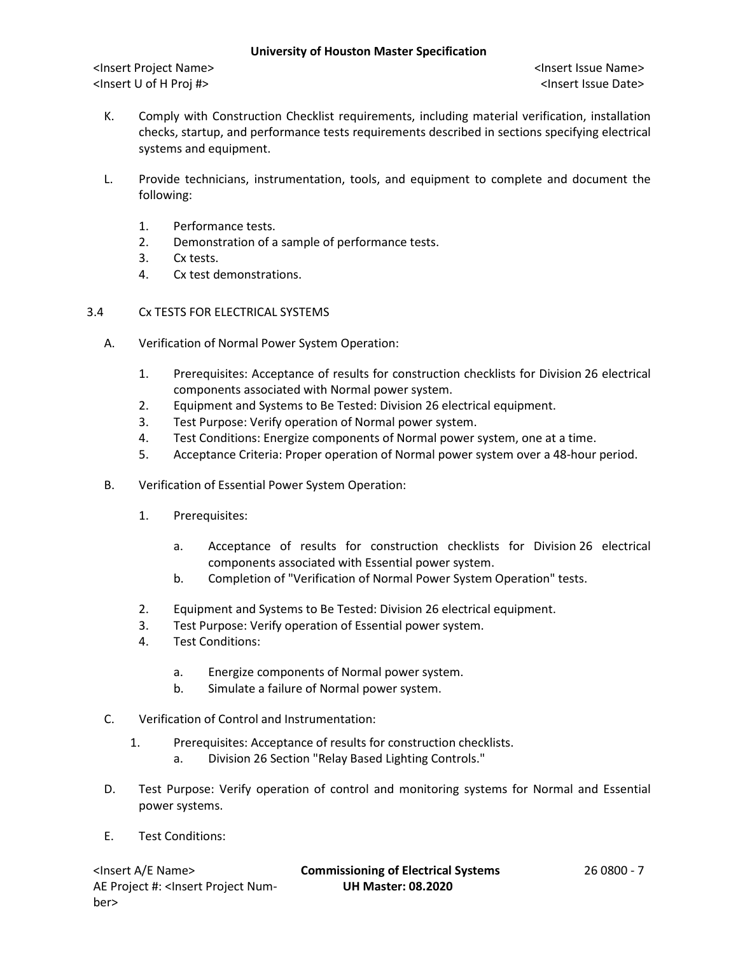- K. Comply with Construction Checklist requirements, including material verification, installation checks, startup, and performance tests requirements described in sections specifying electrical systems and equipment.
- L. Provide technicians, instrumentation, tools, and equipment to complete and document the following:
	- 1. Performance tests.
	- 2. Demonstration of a sample of performance tests.
	- 3. Cx tests.
	- 4. Cx test demonstrations.
- 3.4 Cx TESTS FOR ELECTRICAL SYSTEMS
	- A. Verification of Normal Power System Operation:
		- 1. Prerequisites: Acceptance of results for construction checklists for Division 26 electrical components associated with Normal power system.
		- 2. Equipment and Systems to Be Tested: Division 26 electrical equipment.
		- 3. Test Purpose: Verify operation of Normal power system.
		- 4. Test Conditions: Energize components of Normal power system, one at a time.
		- 5. Acceptance Criteria: Proper operation of Normal power system over a 48-hour period.
	- B. Verification of Essential Power System Operation:
		- 1. Prerequisites:
			- a. Acceptance of results for construction checklists for Division 26 electrical components associated with Essential power system.
			- b. Completion of "Verification of Normal Power System Operation" tests.
		- 2. Equipment and Systems to Be Tested: Division 26 electrical equipment.
		- 3. Test Purpose: Verify operation of Essential power system.
		- 4. Test Conditions:
			- a. Energize components of Normal power system.
			- b. Simulate a failure of Normal power system.
	- C. Verification of Control and Instrumentation:
		- 1. Prerequisites: Acceptance of results for construction checklists.
			- a. Division 26 Section "Relay Based Lighting Controls."
	- D. Test Purpose: Verify operation of control and monitoring systems for Normal and Essential power systems.
	- E. Test Conditions:

AE Project #: <Insert Project Number>

<Insert A/E Name> **Commissioning of Electrical Systems** 26 0800 - 7 **UH Master: 08.2020**